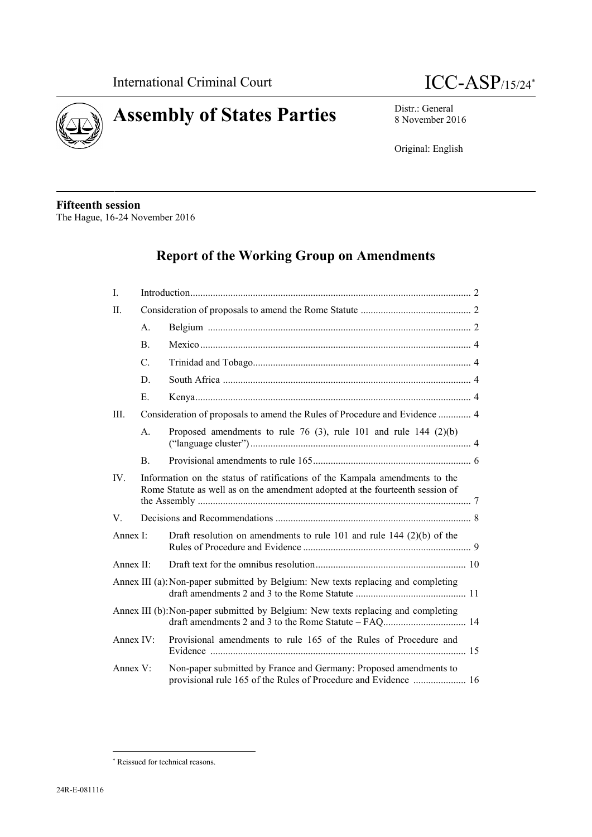



8 November 2016

Original: English

#### **Fifteenth session** The Hague, 16-24 November 2016

# **Report of the Working Group on Amendments**

| $\mathbf{I}$ .   |                                                                                                                                                              |                                                                                                                                      |  |
|------------------|--------------------------------------------------------------------------------------------------------------------------------------------------------------|--------------------------------------------------------------------------------------------------------------------------------------|--|
| $\rm IL$         |                                                                                                                                                              |                                                                                                                                      |  |
|                  | $\mathbf{A}$ .                                                                                                                                               |                                                                                                                                      |  |
|                  | $\mathbf{B}$ .                                                                                                                                               |                                                                                                                                      |  |
|                  | C.                                                                                                                                                           |                                                                                                                                      |  |
|                  | D.                                                                                                                                                           |                                                                                                                                      |  |
|                  | E.                                                                                                                                                           |                                                                                                                                      |  |
| III.             | Consideration of proposals to amend the Rules of Procedure and Evidence  4                                                                                   |                                                                                                                                      |  |
|                  | $\mathsf{A}$ .                                                                                                                                               | Proposed amendments to rule 76 (3), rule 101 and rule 144 (2)(b)                                                                     |  |
|                  | <sub>B</sub>                                                                                                                                                 |                                                                                                                                      |  |
| IV.              | Information on the status of ratifications of the Kampala amendments to the<br>Rome Statute as well as on the amendment adopted at the fourteenth session of |                                                                                                                                      |  |
| V.               |                                                                                                                                                              |                                                                                                                                      |  |
| Annex $\Gamma$ : |                                                                                                                                                              | Draft resolution on amendments to rule 101 and rule 144 $(2)(b)$ of the                                                              |  |
| Annex $II$ :     |                                                                                                                                                              |                                                                                                                                      |  |
|                  |                                                                                                                                                              | Annex III (a): Non-paper submitted by Belgium: New texts replacing and completing                                                    |  |
|                  |                                                                                                                                                              | Annex III (b): Non-paper submitted by Belgium: New texts replacing and completing                                                    |  |
| Annex $IV:$      |                                                                                                                                                              | Provisional amendments to rule 165 of the Rules of Procedure and                                                                     |  |
| Annex $V$ :      |                                                                                                                                                              | Non-paper submitted by France and Germany: Proposed amendments to<br>provisional rule 165 of the Rules of Procedure and Evidence  16 |  |

Reissued for technical reasons.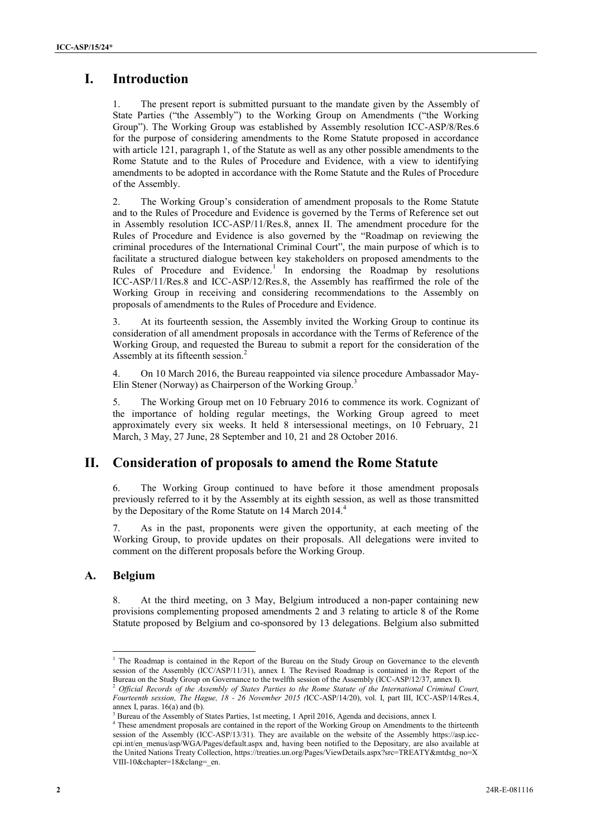# **I. Introduction**

1. The present report is submitted pursuant to the mandate given by the Assembly of State Parties ("the Assembly") to the Working Group on Amendments ("the Working Group"). The Working Group was established by Assembly resolution ICC-ASP/8/Res.6 for the purpose of considering amendments to the Rome Statute proposed in accordance with article 121, paragraph 1, of the Statute as well as any other possible amendments to the Rome Statute and to the Rules of Procedure and Evidence, with a view to identifying amendments to be adopted in accordance with the Rome Statute and the Rules of Procedure of the Assembly.

2. The Working Group's consideration of amendment proposals to the Rome Statute and to the Rules of Procedure and Evidence is governed by the Terms of Reference set out in Assembly resolution ICC-ASP/11/Res.8, annex II. The amendment procedure for the Rules of Procedure and Evidence is also governed by the "Roadmap on reviewing the criminal procedures of the International Criminal Court", the main purpose of which is to facilitate a structured dialogue between key stakeholders on proposed amendments to the Rules of Procedure and Evidence.<sup>1</sup> In endorsing the Roadmap by resolutions ICC-ASP/11/Res.8 and ICC-ASP/12/Res.8, the Assembly has reaffirmed the role of the Working Group in receiving and considering recommendations to the Assembly on proposals of amendments to the Rules of Procedure and Evidence.

3. At its fourteenth session, the Assembly invited the Working Group to continue its consideration of all amendment proposals in accordance with the Terms of Reference of the Working Group, and requested the Bureau to submit a report for the consideration of the Assembly at its fifteenth session.<sup>2</sup>

4. On 10 March 2016, the Bureau reappointed via silence procedure Ambassador May- Elin Stener (Norway) as Chairperson of the Working Group.<sup>3</sup>

5. The Working Group met on 10 February 2016 to commence its work. Cognizant of the importance of holding regular meetings, the Working Group agreed to meet approximately every six weeks. It held 8 intersessional meetings, on 10 February, 21 March, 3 May, 27 June, 28 September and 10, 21 and 28 October 2016.

# **II. Consideration of proposals to amend the Rome Statute**

6. The Working Group continued to have before it those amendment proposals previously referred to it by the Assembly at its eighth session, as well as those transmitted by the Depositary of the Rome Statute on 14 March 2014.<sup>4</sup>

7. As in the past, proponents were given the opportunity, at each meeting of the Working Group, to provide updates on their proposals. All delegations were invited to comment on the different proposals before the Working Group.

## **A. Belgium**

8. At the third meeting, on 3 May, Belgium introduced a non-paper containing new provisions complementing proposed amendments 2 and 3 relating to article 8 of the Rome Statute proposed by Belgium and co-sponsored by 13 delegations. Belgium also submitted

<sup>&</sup>lt;sup>1</sup> The Roadmap is contained in the Report of the Bureau on the Study Group on Governance to the eleventh session of the Assembly (ICC/ASP/11/31), annex I. The Revised Roadmap is contained in the Report of the Bureau on the Study Group on Governance to the twelfth session of the Assembly (ICC-ASP/12/37, annex I).

<sup>2</sup> *Official Records of the Assembly of States Parties to the Rome Statute of the International Criminal Court, Fourteenth session, The Hague, 18 - 26 November 2015 (*ICC-ASP/14/20), vol. I, part III, ICC-ASP/14/Res.4, annex I, paras. 16(a) and (b).

<sup>3</sup> Bureau of the Assembly of States Parties, 1st meeting, 1 April 2016, Agenda and decisions, annex I.

<sup>4</sup> These amendment proposals are contained in the report of the Working Group on Amendments to the thirteenth session of the Assembly (ICC-ASP/13/31). They are available on the website of the Assembly https://asp.icc cpi.int/en\_menus/asp/WGA/Pages/default.aspx and, having been notified to the Depositary, are also available at the United Nations Treaty Collection, https://treaties.un.org/Pages/ViewDetails.aspx?src=TREATY&mtdsg\_no=X VIII-10&chapter=18&clang=\_en.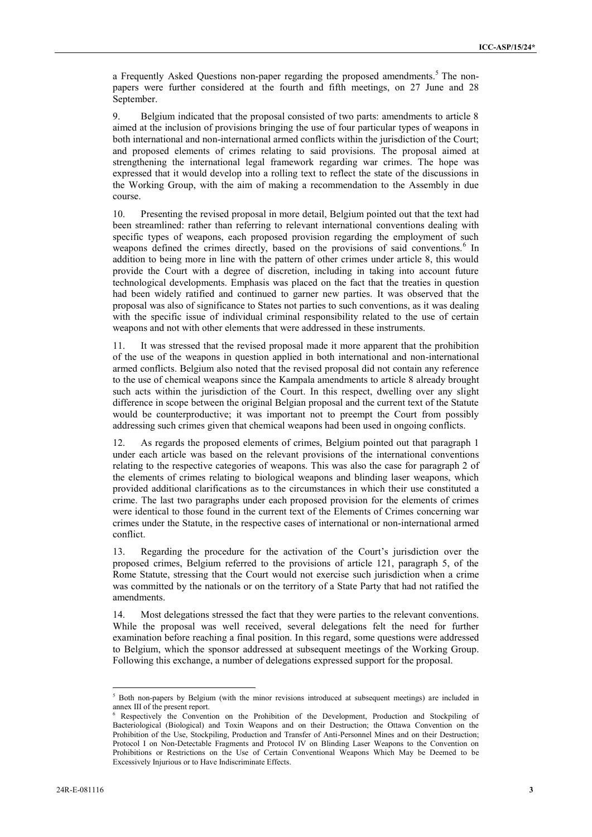a Frequently Asked Questions non-paper regarding the proposed amendments.<sup>5</sup> The nonpapers were further considered at the fourth and fifth meetings, on 27 June and 28 September.

9. Belgium indicated that the proposal consisted of two parts: amendments to article 8 aimed at the inclusion of provisions bringing the use of four particular types of weapons in both international and non-international armed conflicts within the jurisdiction of the Court; and proposed elements of crimes relating to said provisions. The proposal aimed at strengthening the international legal framework regarding war crimes. The hope was expressed that it would develop into a rolling text to reflect the state of the discussions in the Working Group, with the aim of making a recommendation to the Assembly in due course.

10. Presenting the revised proposal in more detail, Belgium pointed out that the text had been streamlined: rather than referring to relevant international conventions dealing with specific types of weapons, each proposed provision regarding the employment of such weapons defined the crimes directly, based on the provisions of said conventions.<sup>6</sup> In addition to being more in line with the pattern of other crimes under article 8, this would provide the Court with a degree of discretion, including in taking into account future technological developments. Emphasis was placed on the fact that the treaties in question had been widely ratified and continued to garner new parties. It was observed that the proposal was also of significance to States not parties to such conventions, as it was dealing with the specific issue of individual criminal responsibility related to the use of certain weapons and not with other elements that were addressed in these instruments.

11. It was stressed that the revised proposal made it more apparent that the prohibition of the use of the weapons in question applied in both international and non-international armed conflicts. Belgium also noted that the revised proposal did not contain any reference to the use of chemical weapons since the Kampala amendments to article 8 already brought such acts within the jurisdiction of the Court. In this respect, dwelling over any slight difference in scope between the original Belgian proposal and the current text of the Statute would be counterproductive; it was important not to preempt the Court from possibly addressing such crimes given that chemical weapons had been used in ongoing conflicts.

12. As regards the proposed elements of crimes, Belgium pointed out that paragraph 1 under each article was based on the relevant provisions of the international conventions relating to the respective categories of weapons. This was also the case for paragraph 2 of the elements of crimes relating to biological weapons and blinding laser weapons, which provided additional clarifications as to the circumstances in which their use constituted a crime. The last two paragraphs under each proposed provision for the elements of crimes were identical to those found in the current text of the Elements of Crimes concerning war crimes under the Statute, in the respective cases of international or non-international armed conflict.

13. Regarding the procedure for the activation of the Court's jurisdiction over the proposed crimes, Belgium referred to the provisions of article 121, paragraph 5, of the Rome Statute, stressing that the Court would not exercise such jurisdiction when a crime was committed by the nationals or on the territory of a State Party that had not ratified the amendments.

14. Most delegations stressed the fact that they were parties to the relevant conventions. While the proposal was well received, several delegations felt the need for further examination before reaching a final position. In this regard, some questions were addressed to Belgium, which the sponsor addressed at subsequent meetings of the Working Group. Following this exchange, a number of delegations expressed support for the proposal.

<sup>&</sup>lt;sup>5</sup> Both non-papers by Belgium (with the minor revisions introduced at subsequent meetings) are included in annex III of the present report.

<sup>6</sup> Respectively the Convention on the Prohibition of the Development, Production and Stockpiling of Bacteriological (Biological) and Toxin Weapons and on their Destruction; the Ottawa Convention on the Prohibition of the Use, Stockpiling, Production and Transfer of Anti-Personnel Mines and on their Destruction; Protocol I on Non-Detectable Fragments and Protocol IV on Blinding Laser Weapons to the Convention on Prohibitions or Restrictions on the Use of Certain Conventional Weapons Which May be Deemed to be Excessively Injurious or to Have Indiscriminate Effects.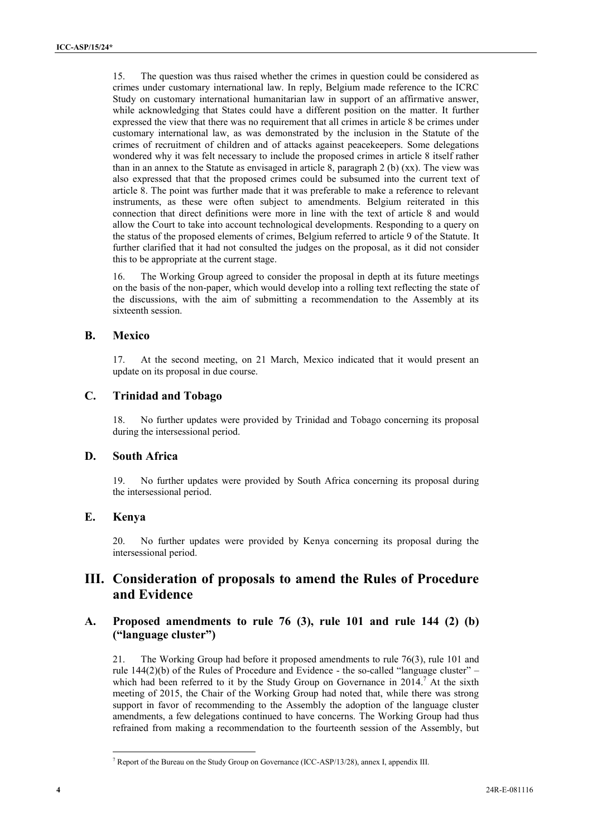15. The question was thus raised whether the crimes in question could be considered as crimes under customary international law. In reply, Belgium made reference to the ICRC Study on customary international humanitarian law in support of an affirmative answer, while acknowledging that States could have a different position on the matter. It further expressed the view that there was no requirement that all crimes in article 8 be crimes under customary international law, as was demonstrated by the inclusion in the Statute of the crimes of recruitment of children and of attacks against peacekeepers. Some delegations wondered why it was felt necessary to include the proposed crimes in article 8 itself rather than in an annex to the Statute as envisaged in article 8, paragraph 2 (b) (xx). The view was also expressed that that the proposed crimes could be subsumed into the current text of article 8. The point was further made that it was preferable to make a reference to relevant instruments, as these were often subject to amendments. Belgium reiterated in this connection that direct definitions were more in line with the text of article 8 and would allow the Court to take into account technological developments. Responding to a query on the status of the proposed elements of crimes, Belgium referred to article 9 of the Statute. It further clarified that it had not consulted the judges on the proposal, as it did not consider this to be appropriate at the current stage.

16. The Working Group agreed to consider the proposal in depth at its future meetings on the basis of the non-paper, which would develop into a rolling text reflecting the state of the discussions, with the aim of submitting a recommendation to the Assembly at its sixteenth session.

#### **B. Mexico**

17. At the second meeting, on 21 March, Mexico indicated that it would present an update on its proposal in due course.

#### **C. Trinidad and Tobago**

18. No further updates were provided by Trinidad and Tobago concerning its proposal during the intersessional period.

#### **D. South Africa**

19. No further updates were provided by South Africa concerning its proposal during the intersessional period.

#### **E. Kenya**

20. No further updates were provided by Kenya concerning its proposal during the intersessional period.

# **III. Consideration of proposals to amend the Rules of Procedure and Evidence**

## **A. Proposed amendments to rule 76 (3), rule 101 and rule 144 (2) (b) ("language cluster")**

21. The Working Group had before it proposed amendments to rule 76(3), rule 101 and rule 144(2)(b) of the Rules of Procedure and Evidence - the so-called "language cluster" – which had been referred to it by the Study Group on Governance in  $2014$ .<sup>7</sup> At the sixth meeting of 2015, the Chair of the Working Group had noted that, while there was strong support in favor of recommending to the Assembly the adoption of the language cluster amendments, a few delegations continued to have concerns. The Working Group had thus refrained from making a recommendation to the fourteenth session of the Assembly, but

<sup>7</sup> Report of the Bureau on the Study Group on Governance (ICC-ASP/13/28), annex I, appendix III.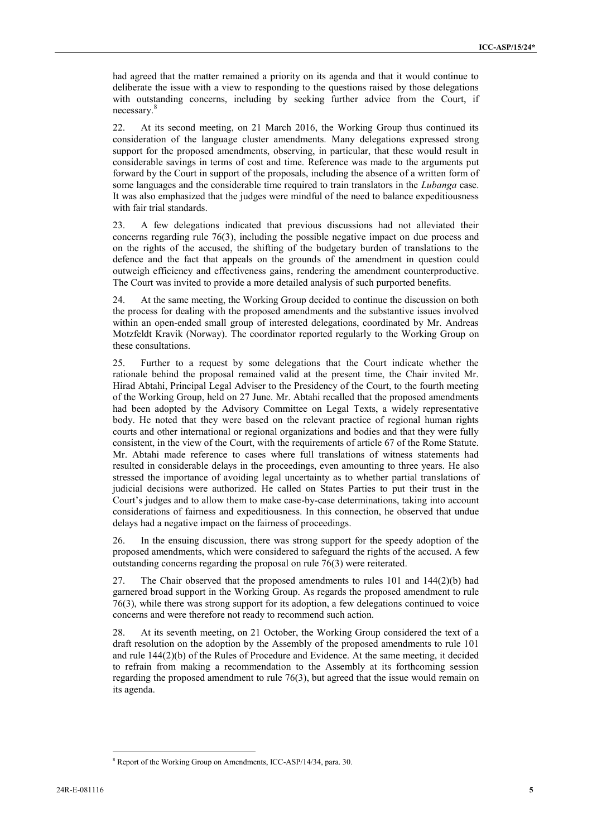had agreed that the matter remained a priority on its agenda and that it would continue to deliberate the issue with a view to responding to the questions raised by those delegations with outstanding concerns, including by seeking further advice from the Court, if necessary.<sup>8</sup>

22. At its second meeting, on 21 March 2016, the Working Group thus continued its consideration of the language cluster amendments. Many delegations expressed strong support for the proposed amendments, observing, in particular, that these would result in considerable savings in terms of cost and time. Reference was made to the arguments put forward by the Court in support of the proposals, including the absence of a written form of some languages and the considerable time required to train translators in the *Lubanga* case. It was also emphasized that the judges were mindful of the need to balance expeditiousness with fair trial standards.

23. A few delegations indicated that previous discussions had not alleviated their concerns regarding rule 76(3), including the possible negative impact on due process and on the rights of the accused, the shifting of the budgetary burden of translations to the defence and the fact that appeals on the grounds of the amendment in question could outweigh efficiency and effectiveness gains, rendering the amendment counterproductive. The Court was invited to provide a more detailed analysis of such purported benefits.

24. At the same meeting, the Working Group decided to continue the discussion on both the process for dealing with the proposed amendments and the substantive issues involved within an open-ended small group of interested delegations, coordinated by Mr. Andreas Motzfeldt Kravik (Norway). The coordinator reported regularly to the Working Group on these consultations.

25. Further to a request by some delegations that the Court indicate whether the rationale behind the proposal remained valid at the present time, the Chair invited Mr. Hirad Abtahi, Principal Legal Adviser to the Presidency of the Court, to the fourth meeting of the Working Group, held on 27 June. Mr. Abtahi recalled that the proposed amendments had been adopted by the Advisory Committee on Legal Texts, a widely representative body. He noted that they were based on the relevant practice of regional human rights courts and other international or regional organizations and bodies and that they were fully consistent, in the view of the Court, with the requirements of article 67 of the Rome Statute. Mr. Abtahi made reference to cases where full translations of witness statements had resulted in considerable delays in the proceedings, even amounting to three years. He also stressed the importance of avoiding legal uncertainty as to whether partial translations of judicial decisions were authorized. He called on States Parties to put their trust in the Court's judges and to allow them to make case-by-case determinations, taking into account considerations of fairness and expeditiousness. In this connection, he observed that undue delays had a negative impact on the fairness of proceedings.

26. In the ensuing discussion, there was strong support for the speedy adoption of the proposed amendments, which were considered to safeguard the rights of the accused. A few outstanding concerns regarding the proposal on rule 76(3) were reiterated.

27. The Chair observed that the proposed amendments to rules 101 and 144(2)(b) had garnered broad support in the Working Group. As regards the proposed amendment to rule 76(3), while there was strong support for its adoption, a few delegations continued to voice concerns and were therefore not ready to recommend such action.

28. At its seventh meeting, on 21 October, the Working Group considered the text of a draft resolution on the adoption by the Assembly of the proposed amendments to rule 101 and rule 144(2)(b) of the Rules of Procedure and Evidence. At the same meeting, it decided to refrain from making a recommendation to the Assembly at its forthcoming session regarding the proposed amendment to rule 76(3), but agreed that the issue would remain on its agenda.

<sup>8</sup> Report of the Working Group on Amendments, ICC-ASP/14/34, para. 30.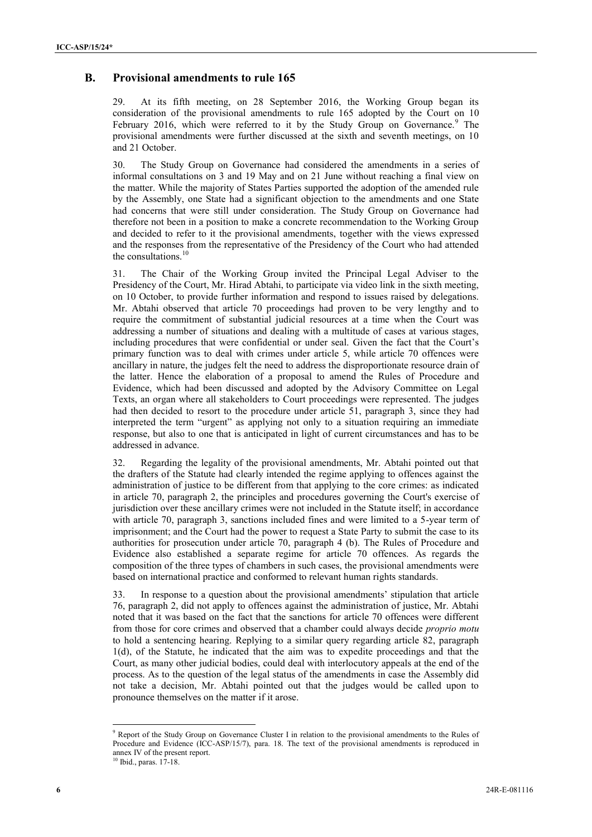## **B. Provisional amendments to rule 165**

29. At its fifth meeting, on 28 September 2016, the Working Group began its consideration of the provisional amendments to rule 165 adopted by the Court on 10 February 2016, which were referred to it by the Study Group on Governance.<sup>9</sup> The provisional amendments were further discussed at the sixth and seventh meetings, on 10 and 21 October.

30. The Study Group on Governance had considered the amendments in a series of informal consultations on 3 and 19 May and on 21 June without reaching a final view on the matter. While the majority of States Parties supported the adoption of the amended rule by the Assembly, one State had a significant objection to the amendments and one State had concerns that were still under consideration. The Study Group on Governance had therefore not been in a position to make a concrete recommendation to the Working Group and decided to refer to it the provisional amendments, together with the views expressed and the responses from the representative of the Presidency of the Court who had attended the consultations.<sup>10</sup>

31. The Chair of the Working Group invited the Principal Legal Adviser to the Presidency of the Court, Mr. Hirad Abtahi, to participate via video link in the sixth meeting, on 10 October, to provide further information and respond to issues raised by delegations. Mr. Abtahi observed that article 70 proceedings had proven to be very lengthy and to require the commitment of substantial judicial resources at a time when the Court was addressing a number of situations and dealing with a multitude of cases at various stages, including procedures that were confidential or under seal. Given the fact that the Court's primary function was to deal with crimes under article 5, while article 70 offences were ancillary in nature, the judges felt the need to address the disproportionate resource drain of the latter. Hence the elaboration of a proposal to amend the Rules of Procedure and Evidence, which had been discussed and adopted by the Advisory Committee on Legal Texts, an organ where all stakeholders to Court proceedings were represented. The judges had then decided to resort to the procedure under article 51, paragraph 3, since they had interpreted the term "urgent" as applying not only to a situation requiring an immediate response, but also to one that is anticipated in light of current circumstances and has to be addressed in advance.

32. Regarding the legality of the provisional amendments, Mr. Abtahi pointed out that the drafters of the Statute had clearly intended the regime applying to offences against the administration of justice to be different from that applying to the core crimes: as indicated in article 70, paragraph 2, the principles and procedures governing the Court's exercise of jurisdiction over these ancillary crimes were not included in the Statute itself; in accordance with article 70, paragraph 3, sanctions included fines and were limited to a 5-year term of imprisonment; and the Court had the power to request a State Party to submit the case to its authorities for prosecution under article 70, paragraph 4 (b). The Rules of Procedure and Evidence also established a separate regime for article 70 offences. As regards the composition of the three types of chambers in such cases, the provisional amendments were based on international practice and conformed to relevant human rights standards.

In response to a question about the provisional amendments' stipulation that article 76, paragraph 2, did not apply to offences against the administration of justice, Mr. Abtahi noted that it was based on the fact that the sanctions for article 70 offences were different from those for core crimes and observed that a chamber could always decide *proprio motu* to hold a sentencing hearing. Replying to a similar query regarding article 82, paragraph 1(d), of the Statute, he indicated that the aim was to expedite proceedings and that the Court, as many other judicial bodies, could deal with interlocutory appeals at the end of the process. As to the question of the legal status of the amendments in case the Assembly did not take a decision, Mr. Abtahi pointed out that the judges would be called upon to pronounce themselves on the matter if it arose.

<sup>9</sup> Report of the Study Group on Governance Cluster I in relation to the provisional amendments to the Rules of Procedure and Evidence (ICC-ASP/15/7), para. 18. The text of the provisional amendments is reproduced in annex IV of the present report.<br> $^{10}$  Ibid., paras. 17-18.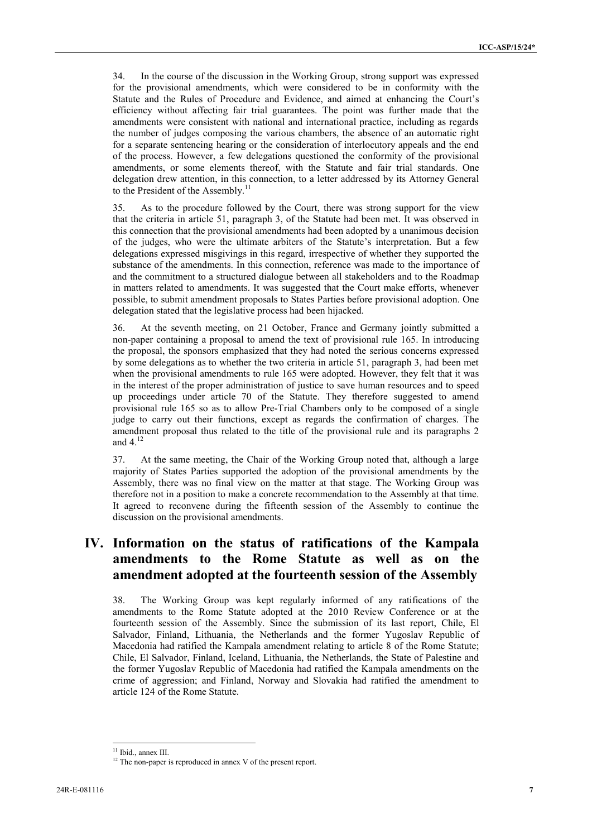34. In the course of the discussion in the Working Group, strong support was expressed for the provisional amendments, which were considered to be in conformity with the Statute and the Rules of Procedure and Evidence, and aimed at enhancing the Court's efficiency without affecting fair trial guarantees. The point was further made that the amendments were consistent with national and international practice, including as regards the number of judges composing the various chambers, the absence of an automatic right for a separate sentencing hearing or the consideration of interlocutory appeals and the end of the process. However, a few delegations questioned the conformity of the provisional amendments, or some elements thereof, with the Statute and fair trial standards. One delegation drew attention, in this connection, to a letter addressed by its Attorney General to the President of the Assembly.<sup>1</sup>

35. As to the procedure followed by the Court, there was strong support for the view that the criteria in article 51, paragraph 3, of the Statute had been met. It was observed in this connection that the provisional amendments had been adopted by a unanimous decision of the judges, who were the ultimate arbiters of the Statute's interpretation. But a few delegations expressed misgivings in this regard, irrespective of whether they supported the substance of the amendments. In this connection, reference was made to the importance of and the commitment to a structured dialogue between all stakeholders and to the Roadmap in matters related to amendments. It was suggested that the Court make efforts, whenever possible, to submit amendment proposals to States Parties before provisional adoption. One delegation stated that the legislative process had been hijacked.

36. At the seventh meeting, on 21 October, France and Germany jointly submitted a non-paper containing a proposal to amend the text of provisional rule 165. In introducing the proposal, the sponsors emphasized that they had noted the serious concerns expressed by some delegations as to whether the two criteria in article 51, paragraph 3, had been met when the provisional amendments to rule 165 were adopted. However, they felt that it was in the interest of the proper administration of justice to save human resources and to speed up proceedings under article 70 of the Statute. They therefore suggested to amend provisional rule 165 so as to allow Pre-Trial Chambers only to be composed of a single judge to carry out their functions, except as regards the confirmation of charges. The amendment proposal thus related to the title of the provisional rule and its paragraphs 2 and  $4^{12}$ 

37. At the same meeting, the Chair of the Working Group noted that, although a large majority of States Parties supported the adoption of the provisional amendments by the Assembly, there was no final view on the matter at that stage. The Working Group was therefore not in a position to make a concrete recommendation to the Assembly at that time. It agreed to reconvene during the fifteenth session of the Assembly to continue the discussion on the provisional amendments.

# **IV. Information on the status of ratifications of the Kampala amendments to the Rome Statute as well as on the amendment adopted at the fourteenth session of the Assembly**

38. The Working Group was kept regularly informed of any ratifications of the amendments to the Rome Statute adopted at the 2010 Review Conference or at the fourteenth session of the Assembly. Since the submission of its last report, Chile, El Salvador, Finland, Lithuania, the Netherlands and the former Yugoslav Republic of Macedonia had ratified the Kampala amendment relating to article 8 of the Rome Statute; Chile, El Salvador, Finland, Iceland, Lithuania, the Netherlands, the State of Palestine and the former Yugoslav Republic of Macedonia had ratified the Kampala amendments on the crime of aggression; and Finland, Norway and Slovakia had ratified the amendment to article 124 of the Rome Statute.

<sup>&</sup>lt;sup>11</sup> Ibid., annex III.  $12$  The non-paper is reproduced in annex V of the present report.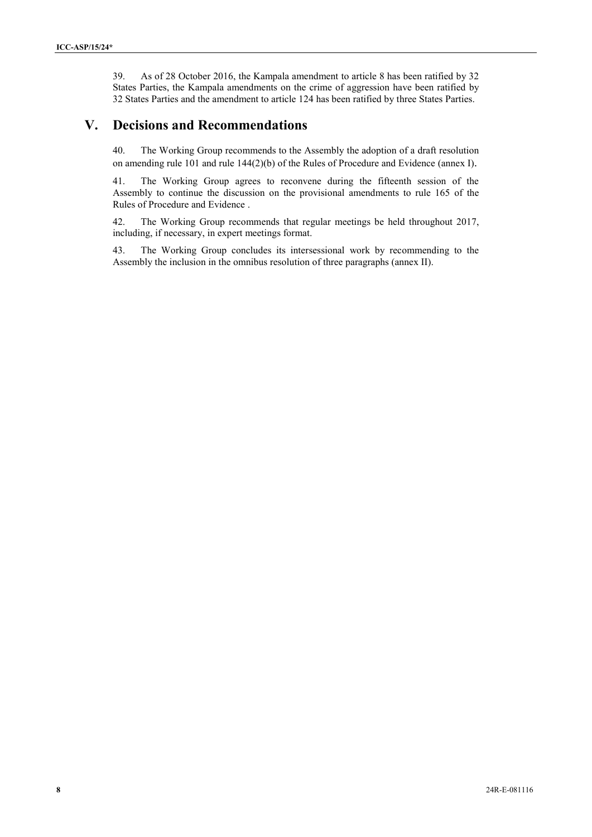39. As of 28 October 2016, the Kampala amendment to article 8 has been ratified by 32 States Parties, the Kampala amendments on the crime of aggression have been ratified by 32 States Parties and the amendment to article 124 has been ratified by three States Parties.

## **V. Decisions and Recommendations**

40. The Working Group recommends to the Assembly the adoption of a draft resolution on amending rule 101 and rule 144(2)(b) of the Rules of Procedure and Evidence (annex I).

41. The Working Group agrees to reconvene during the fifteenth session of the Assembly to continue the discussion on the provisional amendments to rule 165 of the Rules of Procedure and Evidence .

42. The Working Group recommends that regular meetings be held throughout 2017, including, if necessary, in expert meetings format.

43. The Working Group concludes its intersessional work by recommending to the Assembly the inclusion in the omnibus resolution of three paragraphs (annex II).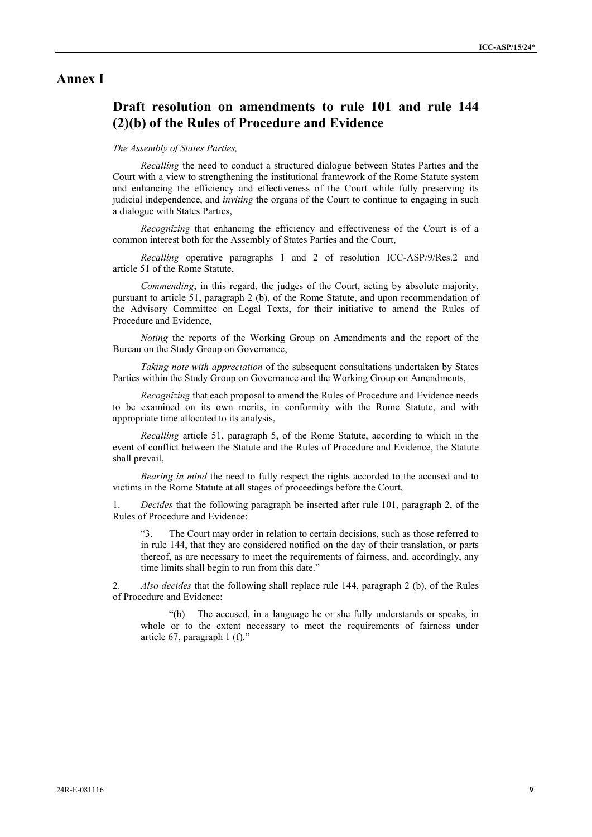## **Annex I**

# **Draft resolution on amendments to rule 101 and rule 144 (2)(b) of the Rules of Procedure and Evidence**

#### *The Assembly of States Parties,*

*Recalling* the need to conduct a structured dialogue between States Parties and the Court with a view to strengthening the institutional framework of the Rome Statute system and enhancing the efficiency and effectiveness of the Court while fully preserving its judicial independence, and *inviting* the organs of the Court to continue to engaging in such a dialogue with States Parties,

*Recognizing* that enhancing the efficiency and effectiveness of the Court is of a common interest both for the Assembly of States Parties and the Court,

*Recalling* operative paragraphs 1 and 2 of resolution ICC-ASP/9/Res.2 and article 51 of the Rome Statute,

*Commending*, in this regard, the judges of the Court, acting by absolute majority, pursuant to article 51, paragraph 2 (b), of the Rome Statute, and upon recommendation of the Advisory Committee on Legal Texts, for their initiative to amend the Rules of Procedure and Evidence,

*Noting* the reports of the Working Group on Amendments and the report of the Bureau on the Study Group on Governance,

*Taking note with appreciation* of the subsequent consultations undertaken by States Parties within the Study Group on Governance and the Working Group on Amendments,

*Recognizing* that each proposal to amend the Rules of Procedure and Evidence needs to be examined on its own merits, in conformity with the Rome Statute, and with appropriate time allocated to its analysis,

*Recalling* article 51, paragraph 5, of the Rome Statute, according to which in the event of conflict between the Statute and the Rules of Procedure and Evidence, the Statute shall prevail,

*Bearing in mind* the need to fully respect the rights accorded to the accused and to victims in the Rome Statute at all stages of proceedings before the Court,

1. *Decides* that the following paragraph be inserted after rule 101, paragraph 2, of the Rules of Procedure and Evidence:

"3. The Court may order in relation to certain decisions, such as those referred to in rule 144, that they are considered notified on the day of their translation, or parts thereof, as are necessary to meet the requirements of fairness, and, accordingly, any time limits shall begin to run from this date."

2. *Also decides* that the following shall replace rule 144, paragraph 2 (b), of the Rules of Procedure and Evidence:

"(b) The accused, in a language he or she fully understands or speaks, in whole or to the extent necessary to meet the requirements of fairness under article 67, paragraph 1 (f)."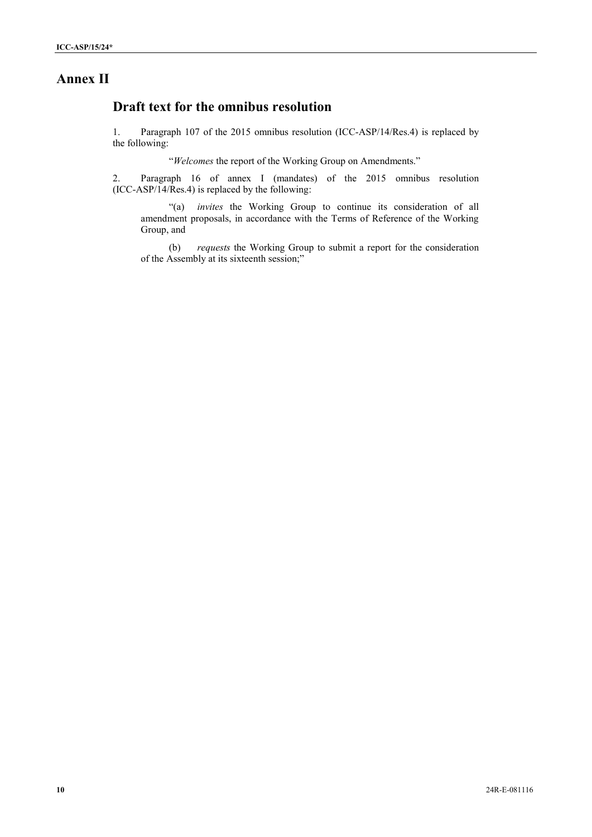## **Annex II**

# **Draft text for the omnibus resolution**

1. Paragraph 107 of the 2015 omnibus resolution (ICC-ASP/14/Res.4) is replaced by the following:<br>"*Welcomes* the report of the Working Group on Amendments."

2. Paragraph 16 of annex I (mandates) of the 2015 omnibus resolution (ICC-ASP/14/Res.4) is replaced by the following:

"(a) *invites* the Working Group to continue its consideration of all amendment proposals, in accordance with the Terms of Reference of the Working Group, and

(b) *requests* the Working Group to submit a report for the consideration of the Assembly at its sixteenth session;"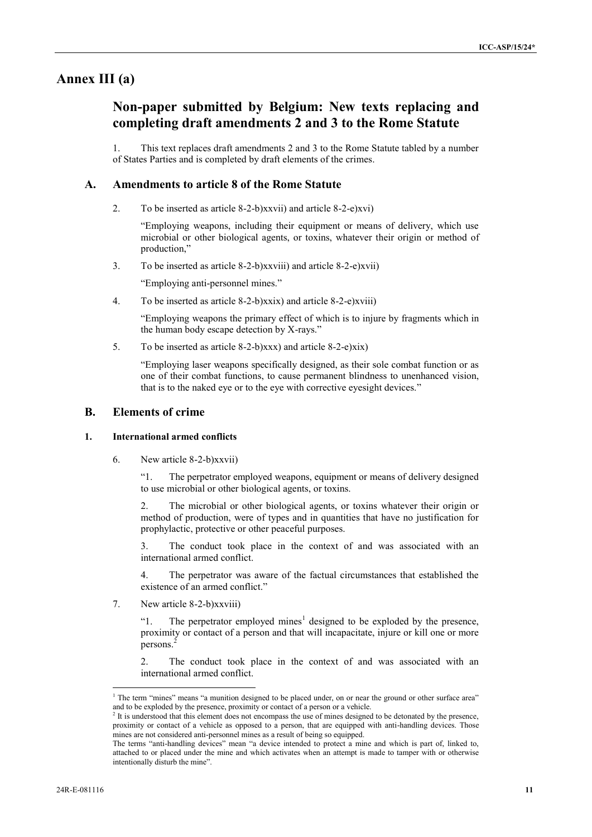## **Annex III (a)**

# **Non-paper submitted by Belgium: New texts replacing and completing draft amendments 2 and 3 to the Rome Statute**

1. This text replaces draft amendments 2 and 3 to the Rome Statute tabled by a number of States Parties and is completed by draft elements of the crimes.

## **A. Amendments to article 8 of the Rome Statute**

2. To be inserted as article 8-2-b)xxvii) and article 8-2-e)xvi)

"Employing weapons, including their equipment or means of delivery, which use microbial or other biological agents, or toxins, whatever their origin or method of production,"

3. To be inserted as article 8-2-b)xxviii) and article 8-2-e)xvii)

"Employing anti-personnel mines."

4. To be inserted as article 8-2-b)xxix) and article 8-2-e)xviii)

"Employing weapons the primary effect of which is to injure by fragments which in the human body escape detection by X-rays."

5. To be inserted as article  $8-2-b$ )xxx) and article  $8-2-e$ )xix)

"Employing laser weapons specifically designed, as their sole combat function or as one of their combat functions, to cause permanent blindness to unenhanced vision, that is to the naked eye or to the eye with corrective eyesight devices."

## **B. Elements of crime**

### **1. International armed conflicts**

6. New article 8-2-b)xxvii)

"1. The perpetrator employed weapons, equipment or means of delivery designed to use microbial or other biological agents, or toxins.

The microbial or other biological agents, or toxins whatever their origin or method of production, were of types and in quantities that have no justification for prophylactic, protective or other peaceful purposes.

3. The conduct took place in the context of and was associated with an international armed conflict.

4. The perpetrator was aware of the factual circumstances that established the existence of an armed conflict'

7. New article 8-2-b)xxviii)

"1. The perpetrator employed mines<sup>1</sup> designed to be exploded by the presence, proximity or contact of a person and that will incapacitate, injure or kill one or more persons.<sup>2</sup>

2. The conduct took place in the context of and was associated with an international armed conflict.

<sup>&</sup>lt;sup>1</sup> The term "mines" means "a munition designed to be placed under, on or near the ground or other surface area" and to be exploded by the presence, proximity or contact of a person or a vehicle.

<sup>&</sup>lt;sup>2</sup> It is understood that this element does not encompass the use of mines designed to be detonated by the presence, proximity or contact of a vehicle as opposed to a person, that are equipped with anti-handling devices. Those mines are not considered anti-personnel mines as a result of being so equipped.

The terms "anti-handling devices" mean "a device intended to protect a mine and which is part of, linked to, attached to or placed under the mine and which activates when an attempt is made to tamper with or otherwise intentionally disturb the mine".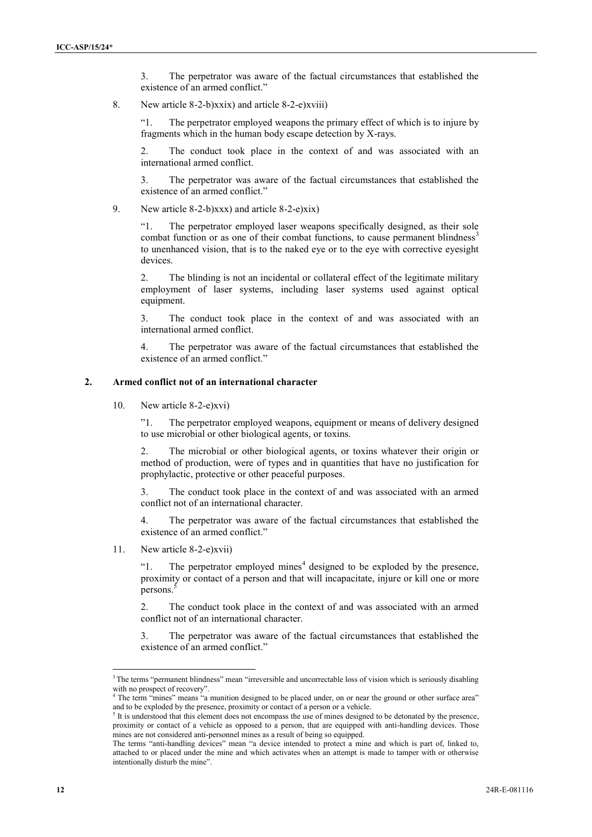3. The perpetrator was aware of the factual circumstances that established the existence of an armed conflict."

8. New article 8-2-b)xxix) and article 8-2-e)xviii)

"1. The perpetrator employed weapons the primary effect of which is to injure by fragments which in the human body escape detection by X-rays.

2. The conduct took place in the context of and was associated with an international armed conflict.

3. The perpetrator was aware of the factual circumstances that established the existence of an armed conflict."

9. New article 8-2-b)xxx) and article 8-2-e)xix)

"1. The perpetrator employed laser weapons specifically designed, as their sole combat function or as one of their combat functions, to cause permanent blindness<sup>3</sup> to unenhanced vision, that is to the naked eye or to the eye with corrective eyesight devices.

2. The blinding is not an incidental or collateral effect of the legitimate military employment of laser systems, including laser systems used against optical equipment.

3. The conduct took place in the context of and was associated with an international armed conflict.

4. The perpetrator was aware of the factual circumstances that established the existence of an armed conflict."

#### **2. Armed conflict not of an international character**

10. New article 8-2-e)xvi)

"1. The perpetrator employed weapons, equipment or means of delivery designed to use microbial or other biological agents, or toxins.

2. The microbial or other biological agents, or toxins whatever their origin or method of production, were of types and in quantities that have no justification for prophylactic, protective or other peaceful purposes.

3. The conduct took place in the context of and was associated with an armed conflict not of an international character.

4. The perpetrator was aware of the factual circumstances that established the existence of an armed conflict."

11. New article 8-2-e)xvii)

"1. The perpetrator employed mines $4$  designed to be exploded by the presence, proximity or contact of a person and that will incapacitate, injure or kill one or more persons.

2. The conduct took place in the context of and was associated with an armed conflict not of an international character.

3. The perpetrator was aware of the factual circumstances that established the existence of an armed conflict."

<sup>&</sup>lt;sup>3</sup> The terms "permanent blindness" mean "irreversible and uncorrectable loss of vision which is seriously disabling with no prospect of recovery".

The term "mines" means "a munition designed to be placed under, on or near the ground or other surface area" and to be exploded by the presence, proximity or contact of a person or a vehicle.

<sup>&</sup>lt;sup>5</sup> It is understood that this element does not encompass the use of mines designed to be detonated by the presence, proximity or contact of a vehicle as opposed to a person, that are equipped with anti-handling devices. Those mines are not considered anti-personnel mines as a result of being so equipped.

The terms "anti-handling devices" mean "a device intended to protect a mine and which is part of, linked to, attached to or placed under the mine and which activates when an attempt is made to tamper with or otherwise intentionally disturb the mine".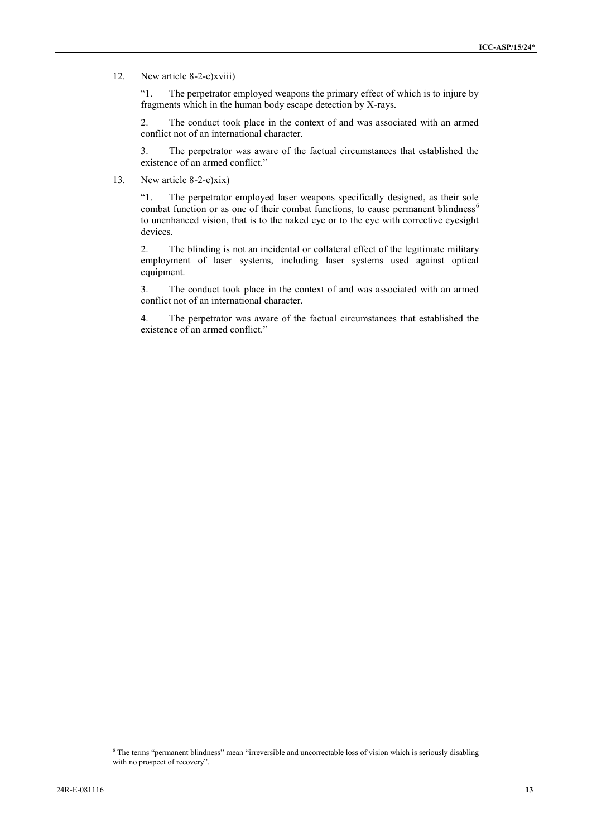#### 12. New article 8-2-e)xviii)

"1. The perpetrator employed weapons the primary effect of which is to injure by fragments which in the human body escape detection by X-rays.

2. The conduct took place in the context of and was associated with an armed conflict not of an international character.

3. The perpetrator was aware of the factual circumstances that established the existence of an armed conflict."

13. New article 8-2-e)xix)

"1. The perpetrator employed laser weapons specifically designed, as their sole combat function or as one of their combat functions, to cause permanent blindness<sup>6</sup> to unenhanced vision, that is to the naked eye or to the eye with corrective eyesight devices.

2. The blinding is not an incidental or collateral effect of the legitimate military employment of laser systems, including laser systems used against optical equipment.

3. The conduct took place in the context of and was associated with an armed conflict not of an international character.

4. The perpetrator was aware of the factual circumstances that established the existence of an armed conflict."

<sup>6</sup> The terms "permanent blindness" mean "irreversible and uncorrectable loss of vision which is seriously disabling with no prospect of recovery".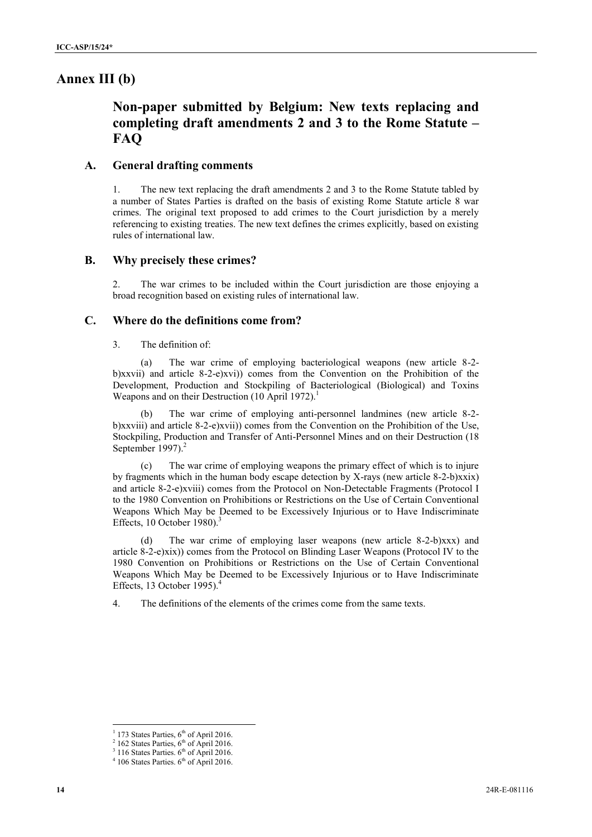## **Annex III (b)**

# **Non-paper submitted by Belgium: New texts replacing and completing draft amendments 2 and 3 to the Rome Statute – FAQ**

### **A. General drafting comments**

1. The new text replacing the draft amendments 2 and 3 to the Rome Statute tabled by a number of States Parties is drafted on the basis of existing Rome Statute article 8 war crimes. The original text proposed to add crimes to the Court jurisdiction by a merely referencing to existing treaties. The new text defines the crimes explicitly, based on existing rules of international law.

#### **B. Why precisely these crimes?**

2. The war crimes to be included within the Court jurisdiction are those enjoying a broad recognition based on existing rules of international law.

#### **C. Where do the definitions come from?**

3. The definition of:

(a) The war crime of employing bacteriological weapons (new article 8-2 b)xxvii) and article 8-2-e)xvi)) comes from the Convention on the Prohibition of the Development, Production and Stockpiling of Bacteriological (Biological) and Toxins Weapons and on their Destruction (10 April 1972).<sup>1</sup>

(b) The war crime of employing anti-personnel landmines (new article 8-2 b)xxviii) and article 8-2-e)xvii)) comes from the Convention on the Prohibition of the Use, Stockpiling, Production and Transfer of Anti-Personnel Mines and on their Destruction (18 September 1997). $<sup>2</sup>$ </sup>

The war crime of employing weapons the primary effect of which is to injure by fragments which in the human body escape detection by X-rays (new article 8-2-b)xxix) and article 8-2-e)xviii) comes from the Protocol on Non-Detectable Fragments (Protocol I to the 1980 Convention on Prohibitions or Restrictions on the Use of Certain Conventional Weapons Which May be Deemed to be Excessively Injurious or to Have Indiscriminate Effects, 10 October 1980). $3$ 

(d) The war crime of employing laser weapons (new article 8-2-b)xxx) and article 8-2-e)xix)) comes from the Protocol on Blinding Laser Weapons (Protocol IV to the 1980 Convention on Prohibitions or Restrictions on the Use of Certain Conventional Weapons Which May be Deemed to be Excessively Injurious or to Have Indiscriminate Effects, 13 October 1995).<sup>4</sup>

4. The definitions of the elements of the crimes come from the same texts.

 $1$  173 States Parties,  $6<sup>th</sup>$  of April 2016.

 $2$  162 States Parties,  $6<sup>th</sup>$  of April 2016.

<sup>&</sup>lt;sup>3</sup> 116 States Parties.  $6<sup>th</sup>$  of April 2016.<br><sup>4</sup> 106 States Parties.  $6<sup>th</sup>$  of April 2016.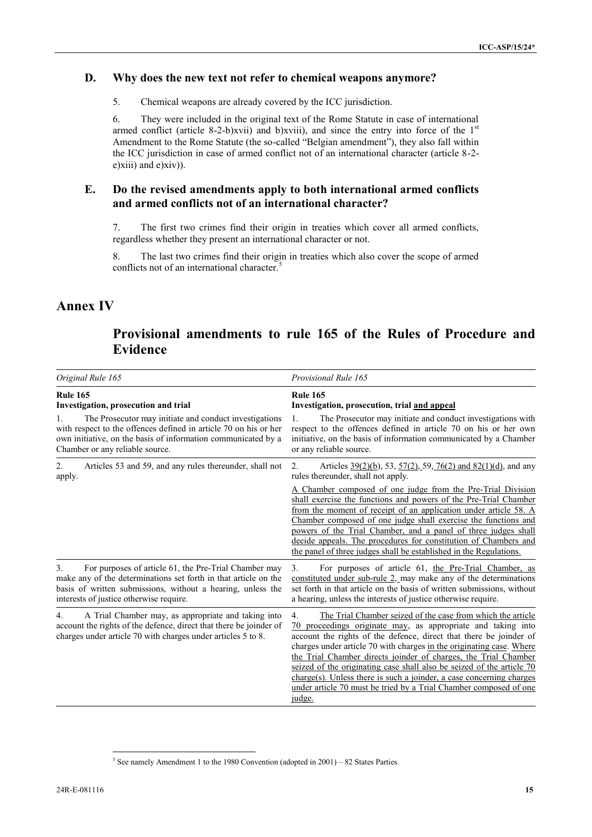## **D. Why does the new text not refer to chemical weapons anymore?**

5. Chemical weapons are already covered by the ICC jurisdiction.

6. They were included in the original text of the Rome Statute in case of international armed conflict (article 8-2-b)xvii) and b)xviii), and since the entry into force of the  $1<sup>st</sup>$ Amendment to the Rome Statute (the so-called "Belgian amendment"), they also fall within the ICC jurisdiction in case of armed conflict not of an international character (article 8-2 e)xiii) and e)xiv)).

### **E. Do the revised amendments apply to both international armed conflicts and armed conflicts not of an international character?**

7. The first two crimes find their origin in treaties which cover all armed conflicts, regardless whether they present an international character or not.

8. The last two crimes find their origin in treaties which also cover the scope of armed conflicts not of an international character.<sup>5</sup>

## **Annex IV**

# **Provisional amendments to rule 165 of the Rules of Procedure and Evidence**

| Original Rule 165                                                                                                                                                                                                                                    | Provisional Rule 165<br><b>Rule 165</b><br>Investigation, prosecution, trial and appeal<br>The Prosecutor may initiate and conduct investigations with<br>respect to the offences defined in article 70 on his or her own<br>initiative, on the basis of information communicated by a Chamber<br>or any reliable source.                                                                                                                                                                                                                                                             |  |
|------------------------------------------------------------------------------------------------------------------------------------------------------------------------------------------------------------------------------------------------------|---------------------------------------------------------------------------------------------------------------------------------------------------------------------------------------------------------------------------------------------------------------------------------------------------------------------------------------------------------------------------------------------------------------------------------------------------------------------------------------------------------------------------------------------------------------------------------------|--|
| <b>Rule 165</b><br>Investigation, prosecution and trial                                                                                                                                                                                              |                                                                                                                                                                                                                                                                                                                                                                                                                                                                                                                                                                                       |  |
| The Prosecutor may initiate and conduct investigations<br>with respect to the offences defined in article 70 on his or her<br>own initiative, on the basis of information communicated by a<br>Chamber or any reliable source.                       |                                                                                                                                                                                                                                                                                                                                                                                                                                                                                                                                                                                       |  |
| Articles 53 and 59, and any rules thereunder, shall not<br>2.<br>apply.                                                                                                                                                                              | Articles $39(2)(b)$ , 53, $57(2)$ , 59, 76(2) and 82(1)(d), and any<br>$2$ .<br>rules thereunder, shall not apply.                                                                                                                                                                                                                                                                                                                                                                                                                                                                    |  |
|                                                                                                                                                                                                                                                      | A Chamber composed of one judge from the Pre-Trial Division<br>shall exercise the functions and powers of the Pre-Trial Chamber<br>from the moment of receipt of an application under article 58. A<br>Chamber composed of one judge shall exercise the functions and<br>powers of the Trial Chamber, and a panel of three judges shall<br>decide appeals. The procedures for constitution of Chambers and<br>the panel of three judges shall be established in the Regulations.                                                                                                      |  |
| For purposes of article 61, the Pre-Trial Chamber may<br>3 <sub>1</sub><br>make any of the determinations set forth in that article on the<br>basis of written submissions, without a hearing, unless the<br>interests of justice otherwise require. | For purposes of article 61, the Pre-Trial Chamber, as<br>3.<br>constituted under sub-rule 2, may make any of the determinations<br>set forth in that article on the basis of written submissions, without<br>a hearing, unless the interests of justice otherwise require.                                                                                                                                                                                                                                                                                                            |  |
| A Trial Chamber may, as appropriate and taking into<br>4.<br>account the rights of the defence, direct that there be joinder of<br>charges under article 70 with charges under articles 5 to 8.                                                      | The Trial Chamber seized of the case from which the article<br>4.<br>70 proceedings originate may, as appropriate and taking into<br>account the rights of the defence, direct that there be joinder of<br>charges under article 70 with charges in the originating case. Where<br>the Trial Chamber directs joinder of charges, the Trial Chamber<br>seized of the originating case shall also be seized of the article 70<br>$charge(s)$ . Unless there is such a joinder, a case concerning charges<br>under article 70 must be tried by a Trial Chamber composed of one<br>judge. |  |

 $5$  See namely Amendment 1 to the 1980 Convention (adopted in 2001) – 82 States Parties.